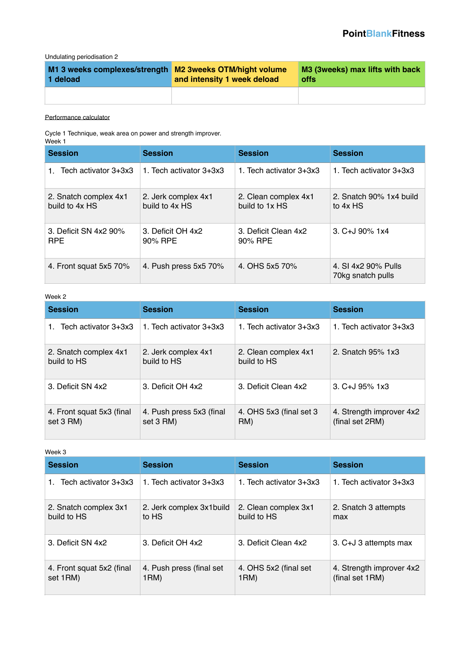Undulating periodisation 2

| M1 3 weeks complexes/strength M2 3weeks OTM/hight volume<br>1 deload | and intensity 1 week deload | M3 (3weeks) max lifts with back<br>offs |
|----------------------------------------------------------------------|-----------------------------|-----------------------------------------|
|                                                                      |                             |                                         |

### [Performance calculator](http://www.qwa.org/Resources/Calculators.aspx)

Cycle 1 Technique, weak area on power and strength improver. Week 1

| <b>Session</b>                          | <b>Session</b>                        | <b>Session</b>                         | <b>Session</b>                           |
|-----------------------------------------|---------------------------------------|----------------------------------------|------------------------------------------|
| 1. Tech activator 3+3x3                 | 1. Tech activator 3+3x3               | 1. Tech activator 3+3x3                | 1. Tech activator 3+3x3                  |
| 2. Snatch complex 4x1<br>build to 4x HS | 2. Jerk complex 4x1<br>build to 4x HS | 2. Clean complex 4x1<br>build to 1x HS | 2. Snatch 90% 1x4 build<br>to 4x HS      |
| 3. Deficit SN 4x2 90%<br><b>RPE</b>     | 3. Deficit OH 4x2<br>90% RPE          | 3. Deficit Clean 4x2<br>90% RPE        | $3. C + J$ 90% 1x4                       |
| 4. Front squat 5x5 70%                  | 4. Push press 5x5 70%                 | 4. OHS 5x5 70%                         | 4. SI 4x2 90% Pulls<br>70kg snatch pulls |

#### Week 2

| <b>Session</b>                         | <b>Session</b>                         | <b>Session</b>                      | <b>Session</b>                              |
|----------------------------------------|----------------------------------------|-------------------------------------|---------------------------------------------|
| Tech activator 3+3x3<br>1.             | 1. Tech activator 3+3x3                | 1. Tech activator 3+3x3             | 1. Tech activator 3+3x3                     |
| 2. Snatch complex 4x1<br>build to HS   | 2. Jerk complex 4x1<br>build to HS     | 2. Clean complex 4x1<br>build to HS | 2. Snatch 95% 1x3                           |
| 3. Deficit SN 4x2                      | 3. Deficit OH 4x2                      | 3. Deficit Clean 4x2                | $3. C+J.95\%$ 1x3                           |
| 4. Front squat 5x3 (final<br>set 3 RM) | 4. Push press 5x3 (final)<br>set 3 RM) | 4. OHS 5x3 (final set 3)<br>RM)     | 4. Strength improver 4x2<br>(final set 2RM) |

#### Week 3

| <b>Session</b>                        | <b>Session</b>                     | <b>Session</b>                      | <b>Session</b>                              |
|---------------------------------------|------------------------------------|-------------------------------------|---------------------------------------------|
| Tech activator 3+3x3                  | 1. Tech activator 3+3x3            | 1. Tech activator 3+3x3             | 1. Tech activator 3+3x3                     |
| 2. Snatch complex 3x1<br>build to HS  | 2. Jerk complex 3x1 build<br>to HS | 2. Clean complex 3x1<br>build to HS | 2. Snatch 3 attempts<br>max                 |
| 3. Deficit SN 4x2                     | 3. Deficit OH 4x2                  | 3. Deficit Clean 4x2                | 3. C+J 3 attempts max                       |
| 4. Front squat 5x2 (final<br>set 1RM) | 4. Push press (final set<br>1RM)   | 4. OHS 5x2 (final set<br>1RM)       | 4. Strength improver 4x2<br>(final set 1RM) |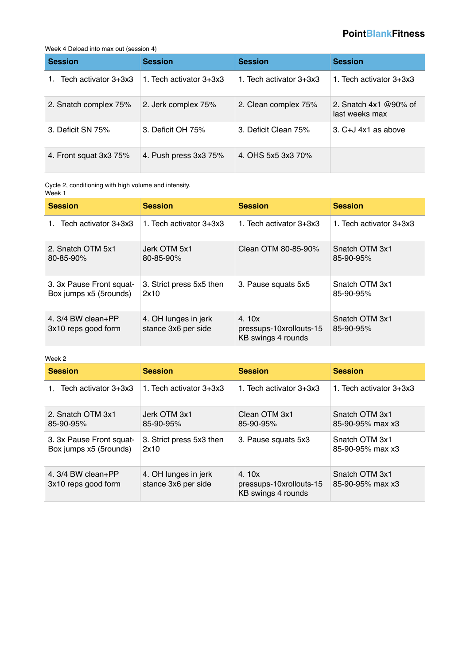# **PointBlankFitness**

#### Week 4 Deload into max out (session 4)

| <b>Session</b>         | <b>Session</b>          | <b>Session</b>          | <b>Session</b>                               |
|------------------------|-------------------------|-------------------------|----------------------------------------------|
| Tech activator 3+3x3   | 1. Tech activator 3+3x3 | 1. Tech activator 3+3x3 | 1. Tech activator 3+3x3                      |
| 2. Snatch complex 75%  | 2. Jerk complex 75%     | 2. Clean complex 75%    | 2. Snatch $4x1 \& 90\%$ of<br>last weeks max |
| 3. Deficit SN 75%      | 3. Deficit OH 75%       | 3. Deficit Clean 75%    | $3. C+J$ 4x1 as above                        |
| 4. Front squat 3x3 75% | 4. Push press 3x3 75%   | 4. OHS 5x5 3x3 70%      |                                              |

Cycle 2, conditioning with high volume and intensity. Week 1

| <b>Session</b>                                     | <b>Session</b>                              | <b>Session</b>                                         | <b>Session</b>              |
|----------------------------------------------------|---------------------------------------------|--------------------------------------------------------|-----------------------------|
| Tech activator 3+3x3                               | 1. Tech activator 3+3x3                     | 1. Tech activator 3+3x3                                | 1. Tech activator 3+3x3     |
| 2. Snatch OTM 5x1<br>80-85-90%                     | Jerk OTM 5x1<br>80-85-90%                   | Clean OTM 80-85-90%                                    | Snatch OTM 3x1<br>85-90-95% |
| 3. 3x Pause Front squat-<br>Box jumps x5 (5rounds) | 3. Strict press 5x5 then<br>2x10            | 3. Pause squats 5x5                                    | Snatch OTM 3x1<br>85-90-95% |
| 4. $3/4$ BW clean+PP<br>3x10 reps good form        | 4. OH lunges in jerk<br>stance 3x6 per side | 4.10x<br>pressups-10xrollouts-15<br>KB swings 4 rounds | Snatch OTM 3x1<br>85-90-95% |

#### Week 2

| <b>Session</b>                                     | <b>Session</b>                              | <b>Session</b>                                         | <b>Session</b>                     |
|----------------------------------------------------|---------------------------------------------|--------------------------------------------------------|------------------------------------|
| 1. Tech activator 3+3x3                            | 1. Tech activator 3+3x3                     | 1. Tech activator 3+3x3                                | 1. Tech activator 3+3x3            |
| 2. Snatch OTM 3x1<br>85-90-95%                     | Jerk OTM 3x1<br>85-90-95%                   | Clean OTM 3x1<br>85-90-95%                             | Snatch OTM 3x1<br>85-90-95% max x3 |
| 3. 3x Pause Front squat-<br>Box jumps x5 (5rounds) | 3. Strict press 5x3 then<br>2x10            | 3. Pause squats 5x3                                    | Snatch OTM 3x1<br>85-90-95% max x3 |
| 4. $3/4$ BW clean+PP<br>3x10 reps good form        | 4. OH lunges in jerk<br>stance 3x6 per side | 4.10x<br>pressups-10xrollouts-15<br>KB swings 4 rounds | Snatch OTM 3x1<br>85-90-95% max x3 |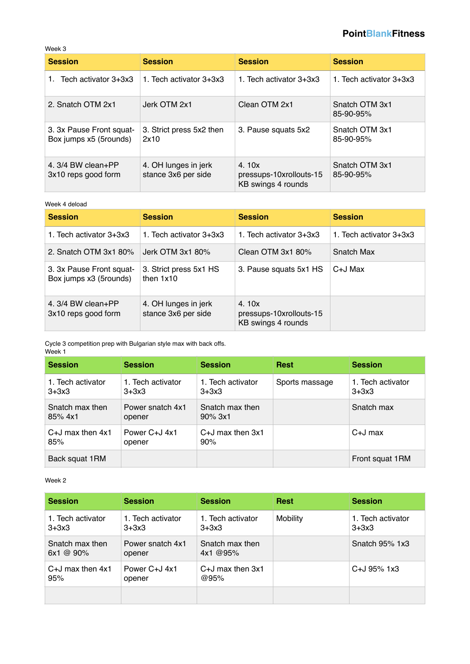### **PointBlankFitness**

Week 3

| <b>Session</b>                                     | <b>Session</b>                              | <b>Session</b>                                         | <b>Session</b>              |
|----------------------------------------------------|---------------------------------------------|--------------------------------------------------------|-----------------------------|
| Tech activator 3+3x3<br>1.                         | 1. Tech activator 3+3x3                     | 1. Tech activator 3+3x3                                | 1. Tech activator 3+3x3     |
| 2. Snatch OTM 2x1                                  | Jerk OTM 2x1                                | Clean OTM 2x1                                          | Snatch OTM 3x1<br>85-90-95% |
| 3. 3x Pause Front squat-<br>Box jumps x5 (5rounds) | 3. Strict press 5x2 then<br>2x10            | 3. Pause squats 5x2                                    | Snatch OTM 3x1<br>85-90-95% |
| 4. $3/4$ BW clean+PP<br>3x10 reps good form        | 4. OH lunges in jerk<br>stance 3x6 per side | 4.10x<br>pressups-10xrollouts-15<br>KB swings 4 rounds | Snatch OTM 3x1<br>85-90-95% |

Week 4 deload

| <b>Session</b>                                     | <b>Session</b>                              | <b>Session</b>                                         | <b>Session</b>          |
|----------------------------------------------------|---------------------------------------------|--------------------------------------------------------|-------------------------|
| 1. Tech activator 3+3x3                            | 1. Tech activator 3+3x3                     | 1. Tech activator 3+3x3                                | 1. Tech activator 3+3x3 |
| 2. Snatch OTM 3x1 80%                              | Jerk OTM 3x1 80%                            | Clean OTM 3x1 80%                                      | Snatch Max              |
| 3. 3x Pause Front squat-<br>Box jumps x3 (5rounds) | 3. Strict press 5x1 HS<br>then $1x10$       | 3. Pause squats 5x1 HS                                 | C+J Max                 |
| 4. $3/4$ BW clean+PP<br>3x10 reps good form        | 4. OH lunges in jerk<br>stance 3x6 per side | 4.10x<br>pressups-10xrollouts-15<br>KB swings 4 rounds |                         |

Cycle 3 competition prep with Bulgarian style max with back offs. Week 1

| <b>Session</b>               | <b>Session</b>               | <b>Session</b>                | <b>Rest</b>    | <b>Session</b>                 |
|------------------------------|------------------------------|-------------------------------|----------------|--------------------------------|
| 1. Tech activator<br>$3+3x3$ | 1. Tech activator<br>$3+3x3$ | 1. Tech activator<br>$3+3x3$  | Sports massage | 1. Tech activator<br>$3 + 3x3$ |
| Snatch max then<br>85%4x1    | Power snatch 4x1<br>opener   | Snatch max then<br>$90\%$ 3x1 |                | Snatch max                     |
| $C+J$ max then $4x1$<br>85%  | Power C+J 4x1<br>opener      | $C+J$ max then $3x1$<br>90%   |                | $C+J$ max                      |
| Back squat 1RM               |                              |                               |                | Front squat 1RM                |

Week 2

| <b>Session</b>                      | <b>Session</b>               | <b>Session</b>               | <b>Rest</b>     | <b>Session</b>                 |
|-------------------------------------|------------------------------|------------------------------|-----------------|--------------------------------|
| 1. Tech activator<br>$3+3x3$        | 1. Tech activator<br>$3+3x3$ | 1. Tech activator<br>$3+3x3$ | <b>Mobility</b> | 1. Tech activator<br>$3 + 3x3$ |
| Snatch max then<br>$6x1 \ @ \ 90\%$ | Power snatch 4x1<br>opener   | Snatch max then<br>4x1@95%   |                 | Snatch 95% 1x3                 |
| $C+J$ max then $4x1$<br>95%         | Power C+J 4x1<br>opener      | $C+J$ max then $3x1$<br>@95% |                 | $C + J$ 95% 1x3                |
|                                     |                              |                              |                 |                                |